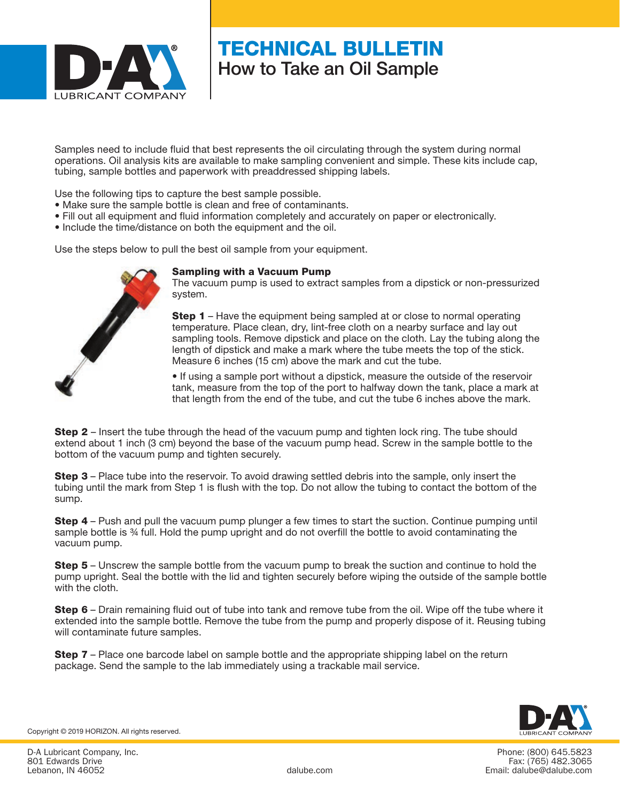

# TECHNICAL BULLETIN How to Take an Oil Sample

Samples need to include fluid that best represents the oil circulating through the system during normal operations. Oil analysis kits are available to make sampling convenient and simple. These kits include cap, tubing, sample bottles and paperwork with preaddressed shipping labels.

Use the following tips to capture the best sample possible.

- Make sure the sample bottle is clean and free of contaminants.
- Fill out all equipment and fluid information completely and accurately on paper or electronically.
- Include the time/distance on both the equipment and the oil.

Use the steps below to pull the best oil sample from your equipment.

#### Sampling with a Vacuum Pump

The vacuum pump is used to extract samples from a dipstick or non-pressurized system.

**Step 1** – Have the equipment being sampled at or close to normal operating temperature. Place clean, dry, lint-free cloth on a nearby surface and lay out sampling tools. Remove dipstick and place on the cloth. Lay the tubing along the length of dipstick and make a mark where the tube meets the top of the stick. Measure 6 inches (15 cm) above the mark and cut the tube.

• If using a sample port without a dipstick, measure the outside of the reservoir tank, measure from the top of the port to halfway down the tank, place a mark at that length from the end of the tube, and cut the tube 6 inches above the mark.

**Step 2** – Insert the tube through the head of the vacuum pump and tighten lock ring. The tube should extend about 1 inch (3 cm) beyond the base of the vacuum pump head. Screw in the sample bottle to the bottom of the vacuum pump and tighten securely.

**Step 3** – Place tube into the reservoir. To avoid drawing settled debris into the sample, only insert the tubing until the mark from Step 1 is flush with the top. Do not allow the tubing to contact the bottom of the sump.

**Step 4** – Push and pull the vacuum pump plunger a few times to start the suction. Continue pumping until sample bottle is  $%$  full. Hold the pump upright and do not overfill the bottle to avoid contaminating the vacuum pump.

**Step 5** – Unscrew the sample bottle from the vacuum pump to break the suction and continue to hold the pump upright. Seal the bottle with the lid and tighten securely before wiping the outside of the sample bottle with the cloth.

Step 6 – Drain remaining fluid out of tube into tank and remove tube from the oil. Wipe off the tube where it extended into the sample bottle. Remove the tube from the pump and properly dispose of it. Reusing tubing will contaminate future samples.

**Step 7** – Place one barcode label on sample bottle and the appropriate shipping label on the return package. Send the sample to the lab immediately using a trackable mail service.



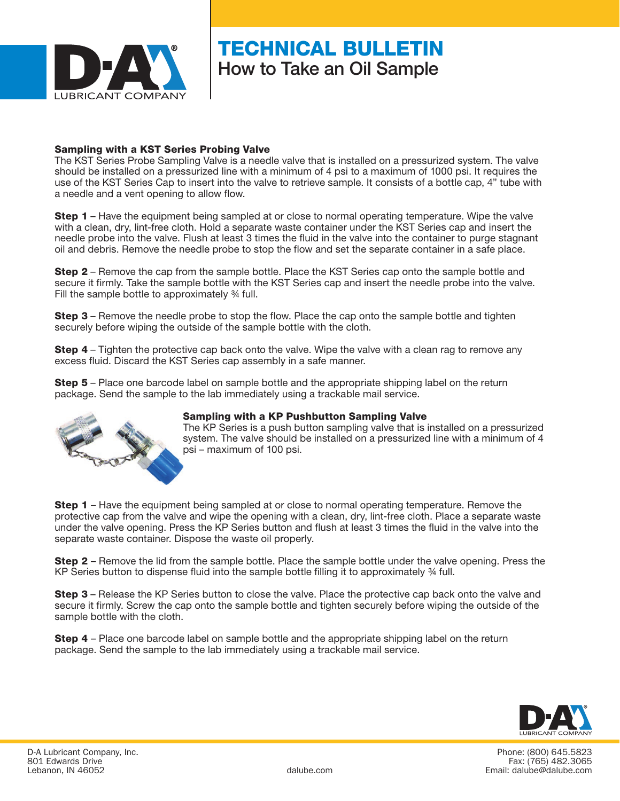

### TECHNICAL BULLETIN How to Take an Oil Sample

#### Sampling with a KST Series Probing Valve

The KST Series Probe Sampling Valve is a needle valve that is installed on a pressurized system. The valve should be installed on a pressurized line with a minimum of 4 psi to a maximum of 1000 psi. It requires the use of the KST Series Cap to insert into the valve to retrieve sample. It consists of a bottle cap, 4" tube with a needle and a vent opening to allow flow.

**Step 1** – Have the equipment being sampled at or close to normal operating temperature. Wipe the valve with a clean, dry, lint-free cloth. Hold a separate waste container under the KST Series cap and insert the needle probe into the valve. Flush at least 3 times the fluid in the valve into the container to purge stagnant oil and debris. Remove the needle probe to stop the flow and set the separate container in a safe place.

Step 2 – Remove the cap from the sample bottle. Place the KST Series cap onto the sample bottle and secure it firmly. Take the sample bottle with the KST Series cap and insert the needle probe into the valve. Fill the sample bottle to approximately ¾ full.

**Step 3** – Remove the needle probe to stop the flow. Place the cap onto the sample bottle and tighten securely before wiping the outside of the sample bottle with the cloth.

**Step 4** – Tighten the protective cap back onto the valve. Wipe the valve with a clean rag to remove any excess fluid. Discard the KST Series cap assembly in a safe manner.

**Step 5** – Place one barcode label on sample bottle and the appropriate shipping label on the return package. Send the sample to the lab immediately using a trackable mail service.



#### Sampling with a KP Pushbutton Sampling Valve

The KP Series is a push button sampling valve that is installed on a pressurized system. The valve should be installed on a pressurized line with a minimum of 4 psi – maximum of 100 psi.

**Step 1** – Have the equipment being sampled at or close to normal operating temperature. Remove the protective cap from the valve and wipe the opening with a clean, dry, lint-free cloth. Place a separate waste under the valve opening. Press the KP Series button and flush at least 3 times the fluid in the valve into the separate waste container. Dispose the waste oil properly.

Step 2 – Remove the lid from the sample bottle. Place the sample bottle under the valve opening. Press the KP Series button to dispense fluid into the sample bottle filling it to approximately ¾ full.

Step 3 – Release the KP Series button to close the valve. Place the protective cap back onto the valve and secure it firmly. Screw the cap onto the sample bottle and tighten securely before wiping the outside of the sample bottle with the cloth.

Step 4 – Place one barcode label on sample bottle and the appropriate shipping label on the return package. Send the sample to the lab immediately using a trackable mail service.